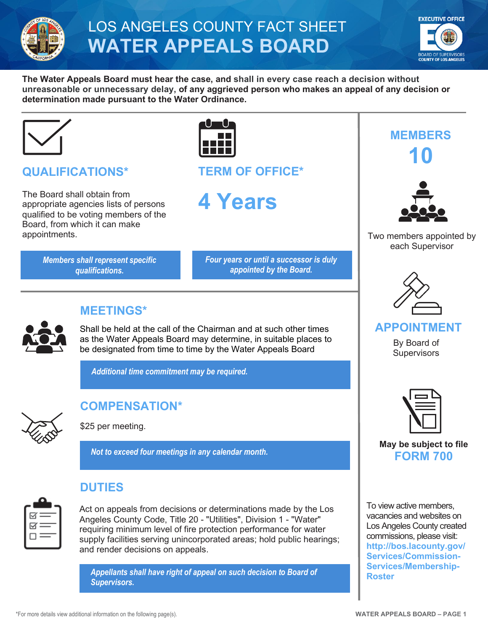

# LOS ANGELES COUNTY FACT SHEET **WATER APPEALS BOARD**



**The Water Appeals Board must hear the case, and shall in every case reach a decision without unreasonable or unnecessary delay, of any aggrieved person who makes an appeal of any decision or determination made pursuant to the Water Ordinance.**



# **QUALIFICATIONS\***

The Board shall obtain from appropriate agencies lists of persons qualified to be voting members of the Board, from which it can make appointments.

> *Members shall represent specific qualifications.*



**TERM OF OFFICE\***

**4 Years**

*Four years or until a successor is duly appointed by the Board.*



#### **MEETINGS\***

Shall be held at the call of the Chairman and at such other times as the Water Appeals Board may determine, in suitable places to be designated from time to time by the Water Appeals Board

*Additional time commitment may be required.*



# **COMPENSATION\***

\$25 per meeting.

*Not to exceed four meetings in any calendar month.*



### **DUTIES**

Act on appeals from decisions or determinations made by the Los Angeles County Code, Title 20 - "Utilities", Division 1 - "Water" requiring minimum level of fire protection performance for water supply facilities serving unincorporated areas; hold public hearings; and render decisions on appeals.

**[Roster](http://bos.lacounty.gov/Services/Commission-Services/Membership-Roster)** *Appellants shall have right of appeal on such decision to Board of Supervisors.*





Two members appointed by each Supervisor



#### **APPOINTMENT**

By Board of **Supervisors** 



#### **May be subject to file FORM 700**

To view active members, vacancies and websites on Los Angeles County created commissions, please visit: **[http://bos.lacounty.gov/](http://bos.lacounty.gov/Services/Commission-Services/Membership-Roster) [Services/Commission-](http://bos.lacounty.gov/Services/Commission-Services/Membership-Roster)[Services/Membership-](http://bos.lacounty.gov/Services/Commission-Services/Membership-Roster)**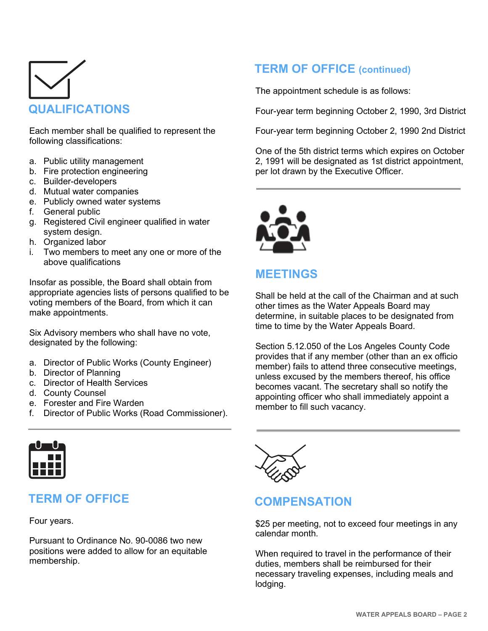

Each member shall be qualified to represent the following classifications:

- a. Public utility management
- b. Fire protection engineering
- c. Builder-developers
- d. Mutual water companies
- e. Publicly owned water systems
- f. General public
- g. Registered Civil engineer qualified in water system design.
- h. Organized labor
- i. Two members to meet any one or more of the above qualifications

Insofar as possible, the Board shall obtain from appropriate agencies lists of persons qualified to be voting members of the Board, from which it can make appointments.

Six Advisory members who shall have no vote, designated by the following:

- a. Director of Public Works (County Engineer)
- b. Director of Planning
- c. Director of Health Services
- d. County Counsel
- e. Forester and Fire Warden
- f. Director of Public Works (Road Commissioner).



### **TERM OF OFFICE**

Four years.

Pursuant to Ordinance No. 90-0086 two new positions were added to allow for an equitable membership.

### **COMPENSATION**

\$25 per meeting, not to exceed four meetings in any calendar month.

When required to travel in the performance of their duties, members shall be reimbursed for their necessary traveling expenses, including meals and lodging.

## **TERM OF OFFICE (continued)**

The appointment schedule is as follows:

Four-year term beginning October 2, 1990, 3rd District

Four-year term beginning October 2, 1990 2nd District

One of the 5th district terms which expires on October 2, 1991 will be designated as 1st district appointment, per lot drawn by the Executive Officer.



#### **MEETINGS**

Shall be held at the call of the Chairman and at such other times as the Water Appeals Board may determine, in suitable places to be designated from time to time by the Water Appeals Board.

Section 5.12.050 of the Los Angeles County Code provides that if any member (other than an ex officio member) fails to attend three consecutive meetings, unless excused by the members thereof, his office becomes vacant. The secretary shall so notify the appointing officer who shall immediately appoint a member to fill such vacancy.